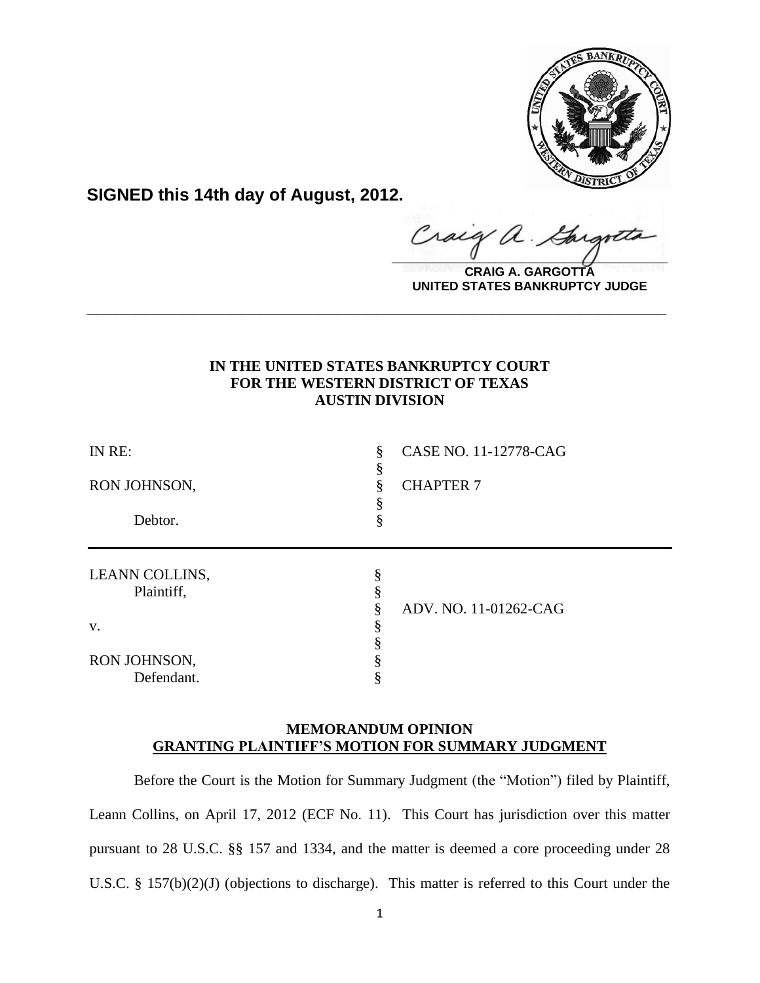

**SIGNED this 14th day of August, 2012.**

raig  $\frac{1}{2}$ 

**CRAIG A. GARGOTTA UNITED STATES BANKRUPTCY JUDGE**

# **IN THE UNITED STATES BANKRUPTCY COURT FOR THE WESTERN DISTRICT OF TEXAS AUSTIN DIVISION**

**\_\_\_\_\_\_\_\_\_\_\_\_\_\_\_\_\_\_\_\_\_\_\_\_\_\_\_\_\_\_\_\_\_\_\_\_\_\_\_\_\_\_\_\_\_\_\_\_\_\_\_\_\_\_\_\_\_\_\_\_**

| IN RE:         | § | CASE NO. 11-12778-CAG |
|----------------|---|-----------------------|
| RON JOHNSON,   |   | <b>CHAPTER 7</b>      |
|                |   |                       |
| Debtor.        | 8 |                       |
|                |   |                       |
| LEANN COLLINS, |   |                       |
| Plaintiff,     |   |                       |
|                |   | ADV. NO. 11-01262-CAG |
| V.             |   |                       |
|                |   |                       |
| RON JOHNSON,   |   |                       |
| Defendant.     |   |                       |

# **MEMORANDUM OPINION GRANTING PLAINTIFF'S MOTION FOR SUMMARY JUDGMENT**

Before the Court is the Motion for Summary Judgment (the "Motion") filed by Plaintiff, Leann Collins, on April 17, 2012 (ECF No. 11). This Court has jurisdiction over this matter pursuant to 28 U.S.C. §§ 157 and 1334, and the matter is deemed a core proceeding under 28 U.S.C. § 157(b)(2)(J) (objections to discharge). This matter is referred to this Court under the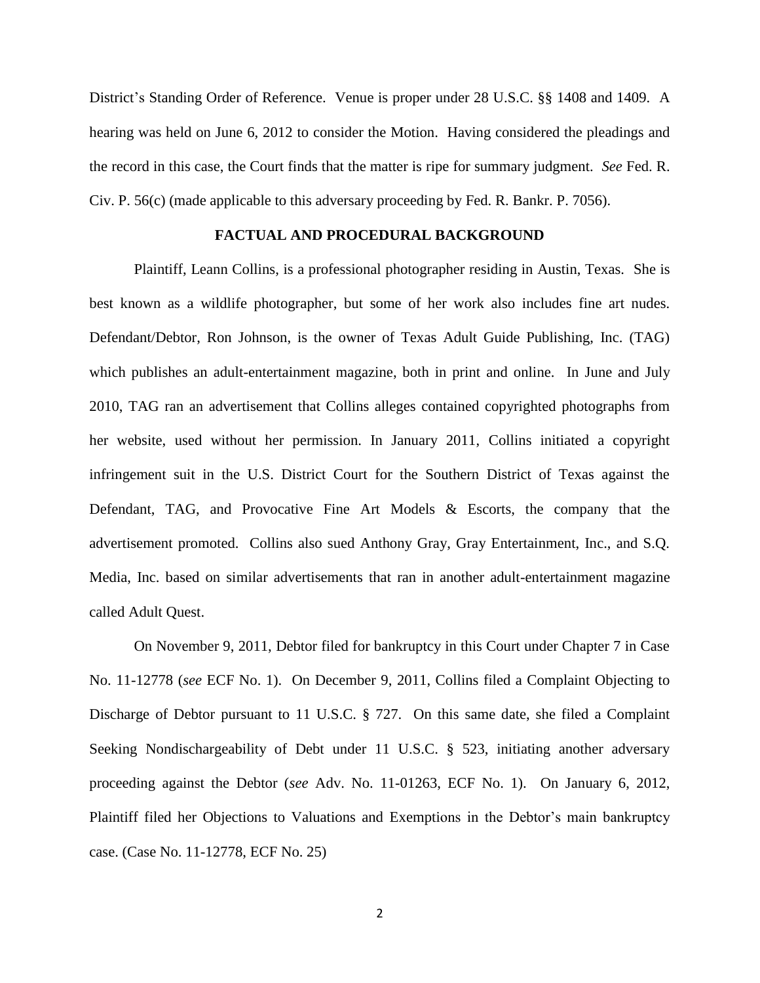District's Standing Order of Reference. Venue is proper under 28 U.S.C. §§ 1408 and 1409.A hearing was held on June 6, 2012 to consider the Motion. Having considered the pleadings and the record in this case, the Court finds that the matter is ripe for summary judgment. *See* Fed. R. Civ. P. 56(c) (made applicable to this adversary proceeding by Fed. R. Bankr. P. 7056).

## **FACTUAL AND PROCEDURAL BACKGROUND**

Plaintiff, Leann Collins, is a professional photographer residing in Austin, Texas. She is best known as a wildlife photographer, but some of her work also includes fine art nudes. Defendant/Debtor, Ron Johnson, is the owner of Texas Adult Guide Publishing, Inc. (TAG) which publishes an adult-entertainment magazine, both in print and online. In June and July 2010, TAG ran an advertisement that Collins alleges contained copyrighted photographs from her website, used without her permission. In January 2011, Collins initiated a copyright infringement suit in the U.S. District Court for the Southern District of Texas against the Defendant, TAG, and Provocative Fine Art Models & Escorts, the company that the advertisement promoted. Collins also sued Anthony Gray, Gray Entertainment, Inc., and S.Q. Media, Inc. based on similar advertisements that ran in another adult-entertainment magazine called Adult Quest.

On November 9, 2011, Debtor filed for bankruptcy in this Court under Chapter 7 in Case No. 11-12778 (*see* ECF No. 1). On December 9, 2011, Collins filed a Complaint Objecting to Discharge of Debtor pursuant to 11 U.S.C. § 727. On this same date, she filed a Complaint Seeking Nondischargeability of Debt under 11 U.S.C. § 523, initiating another adversary proceeding against the Debtor (*see* Adv. No. 11-01263, ECF No. 1). On January 6, 2012, Plaintiff filed her Objections to Valuations and Exemptions in the Debtor's main bankruptcy case. (Case No. 11-12778, ECF No. 25)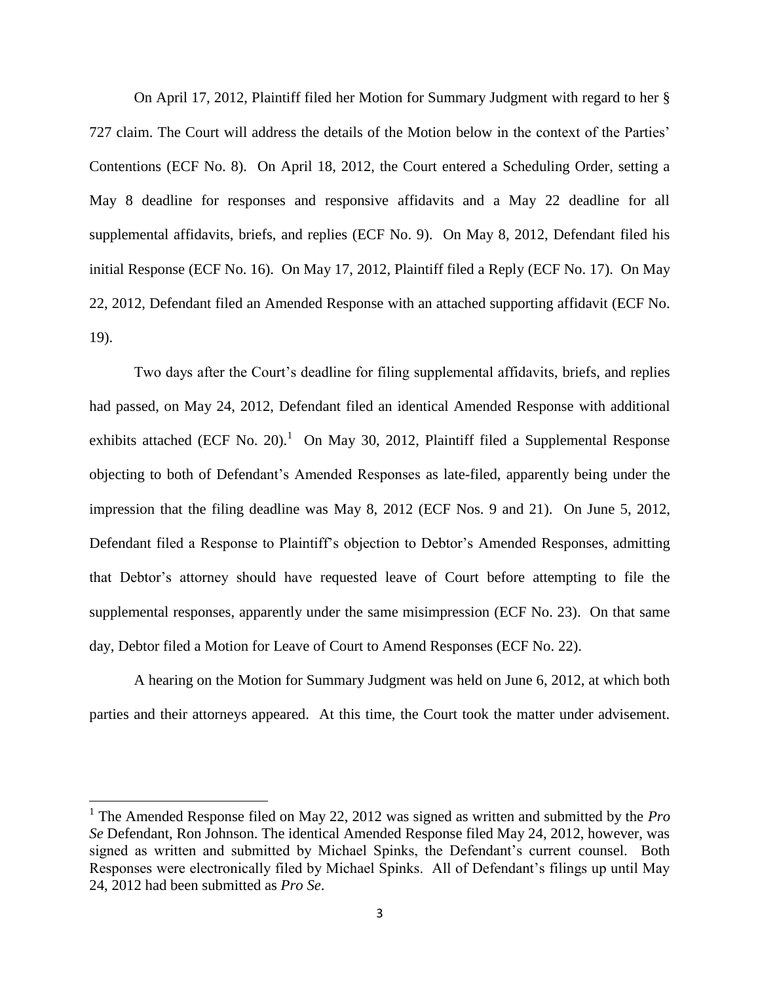On April 17, 2012, Plaintiff filed her Motion for Summary Judgment with regard to her § 727 claim. The Court will address the details of the Motion below in the context of the Parties' Contentions (ECF No. 8). On April 18, 2012, the Court entered a Scheduling Order, setting a May 8 deadline for responses and responsive affidavits and a May 22 deadline for all supplemental affidavits, briefs, and replies (ECF No. 9). On May 8, 2012, Defendant filed his initial Response (ECF No. 16). On May 17, 2012, Plaintiff filed a Reply (ECF No. 17). On May 22, 2012, Defendant filed an Amended Response with an attached supporting affidavit (ECF No. 19).

Two days after the Court's deadline for filing supplemental affidavits, briefs, and replies had passed, on May 24, 2012, Defendant filed an identical Amended Response with additional exhibits attached (ECF No. 20).<sup>1</sup> On May 30, 2012, Plaintiff filed a Supplemental Response objecting to both of Defendant's Amended Responses as late-filed, apparently being under the impression that the filing deadline was May 8, 2012 (ECF Nos. 9 and 21). On June 5, 2012, Defendant filed a Response to Plaintiff's objection to Debtor's Amended Responses, admitting that Debtor's attorney should have requested leave of Court before attempting to file the supplemental responses, apparently under the same misimpression (ECF No. 23). On that same day, Debtor filed a Motion for Leave of Court to Amend Responses (ECF No. 22).

A hearing on the Motion for Summary Judgment was held on June 6, 2012, at which both parties and their attorneys appeared. At this time, the Court took the matter under advisement.

l

<sup>&</sup>lt;sup>1</sup> The Amended Response filed on May 22, 2012 was signed as written and submitted by the *Pro Se* Defendant, Ron Johnson. The identical Amended Response filed May 24, 2012, however, was signed as written and submitted by Michael Spinks, the Defendant's current counsel. Both Responses were electronically filed by Michael Spinks. All of Defendant's filings up until May 24, 2012 had been submitted as *Pro Se*.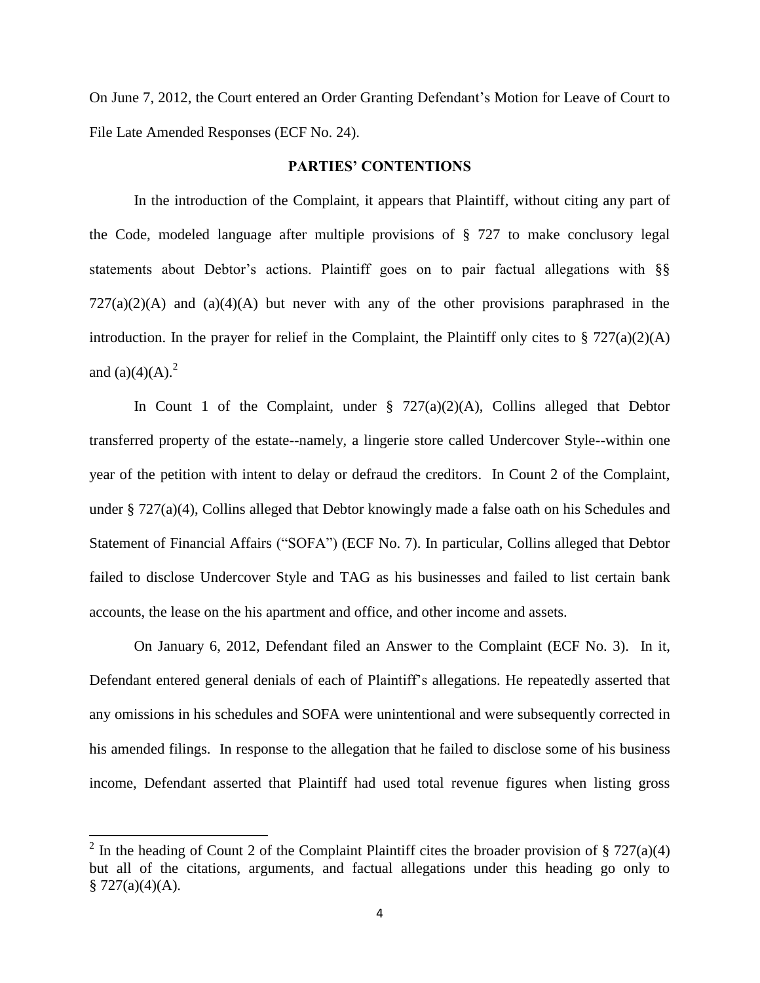On June 7, 2012, the Court entered an Order Granting Defendant's Motion for Leave of Court to File Late Amended Responses (ECF No. 24).

### **PARTIES' CONTENTIONS**

In the introduction of the Complaint, it appears that Plaintiff, without citing any part of the Code, modeled language after multiple provisions of § 727 to make conclusory legal statements about Debtor's actions. Plaintiff goes on to pair factual allegations with §§  $727(a)(2)(A)$  and  $(a)(4)(A)$  but never with any of the other provisions paraphrased in the introduction. In the prayer for relief in the Complaint, the Plaintiff only cites to  $\S 727(a)(2)(A)$ and  $(a)(4)(A)$ .<sup>2</sup>

In Count 1 of the Complaint, under  $\S$  727(a)(2)(A), Collins alleged that Debtor transferred property of the estate--namely, a lingerie store called Undercover Style--within one year of the petition with intent to delay or defraud the creditors. In Count 2 of the Complaint, under § 727(a)(4), Collins alleged that Debtor knowingly made a false oath on his Schedules and Statement of Financial Affairs ("SOFA") (ECF No. 7). In particular, Collins alleged that Debtor failed to disclose Undercover Style and TAG as his businesses and failed to list certain bank accounts, the lease on the his apartment and office, and other income and assets.

On January 6, 2012, Defendant filed an Answer to the Complaint (ECF No. 3). In it, Defendant entered general denials of each of Plaintiff's allegations. He repeatedly asserted that any omissions in his schedules and SOFA were unintentional and were subsequently corrected in his amended filings. In response to the allegation that he failed to disclose some of his business income, Defendant asserted that Plaintiff had used total revenue figures when listing gross

 $\overline{\phantom{a}}$ 

<sup>&</sup>lt;sup>2</sup> In the heading of Count 2 of the Complaint Plaintiff cites the broader provision of § 727(a)(4) but all of the citations, arguments, and factual allegations under this heading go only to  $§ 727(a)(4)(A).$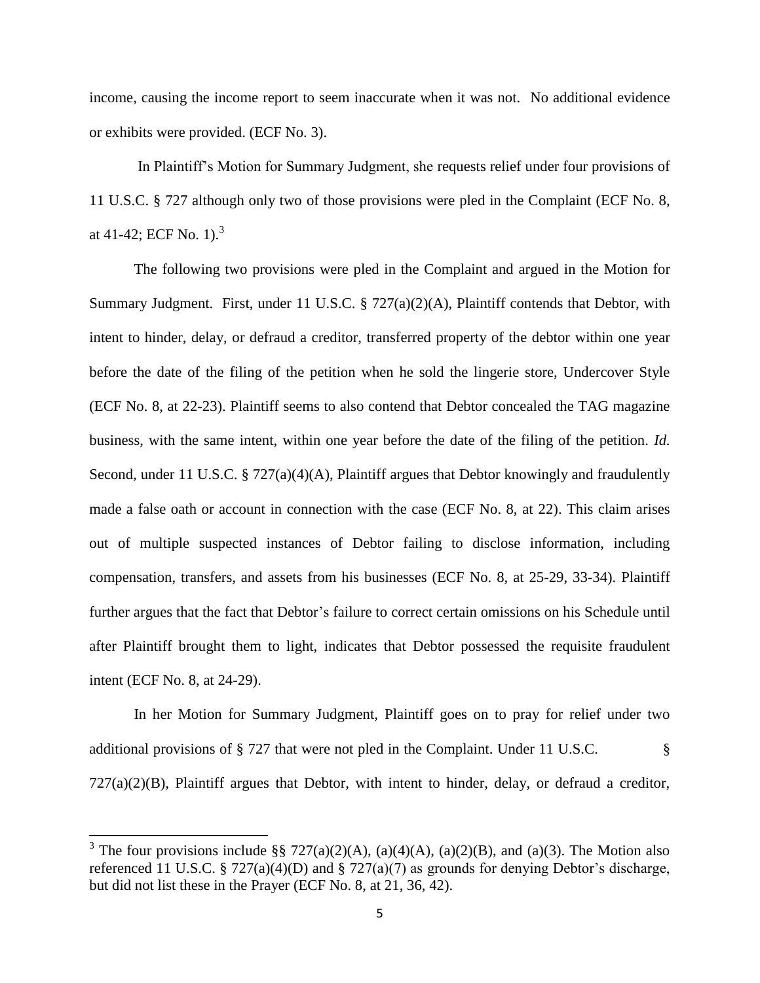income, causing the income report to seem inaccurate when it was not. No additional evidence or exhibits were provided. (ECF No. 3).

In Plaintiff's Motion for Summary Judgment, she requests relief under four provisions of 11 U.S.C. § 727 although only two of those provisions were pled in the Complaint (ECF No. 8, at 41-42; ECF No. 1).<sup>3</sup>

The following two provisions were pled in the Complaint and argued in the Motion for Summary Judgment. First, under 11 U.S.C. § 727(a)(2)(A), Plaintiff contends that Debtor, with intent to hinder, delay, or defraud a creditor, transferred property of the debtor within one year before the date of the filing of the petition when he sold the lingerie store, Undercover Style (ECF No. 8, at 22-23). Plaintiff seems to also contend that Debtor concealed the TAG magazine business, with the same intent, within one year before the date of the filing of the petition. *Id.* Second, under 11 U.S.C. § 727(a)(4)(A), Plaintiff argues that Debtor knowingly and fraudulently made a false oath or account in connection with the case (ECF No. 8, at 22). This claim arises out of multiple suspected instances of Debtor failing to disclose information, including compensation, transfers, and assets from his businesses (ECF No. 8, at 25-29, 33-34). Plaintiff further argues that the fact that Debtor's failure to correct certain omissions on his Schedule until after Plaintiff brought them to light, indicates that Debtor possessed the requisite fraudulent intent (ECF No. 8, at 24-29).

In her Motion for Summary Judgment, Plaintiff goes on to pray for relief under two additional provisions of § 727 that were not pled in the Complaint. Under 11 U.S.C. §  $727(a)(2)(B)$ , Plaintiff argues that Debtor, with intent to hinder, delay, or defraud a creditor,

 $\overline{\phantom{a}}$ 

<sup>&</sup>lt;sup>3</sup> The four provisions include §§ 727(a)(2)(A), (a)(4)(A), (a)(2)(B), and (a)(3). The Motion also referenced 11 U.S.C. § 727(a)(4)(D) and § 727(a)(7) as grounds for denying Debtor's discharge, but did not list these in the Prayer (ECF No. 8, at 21, 36, 42).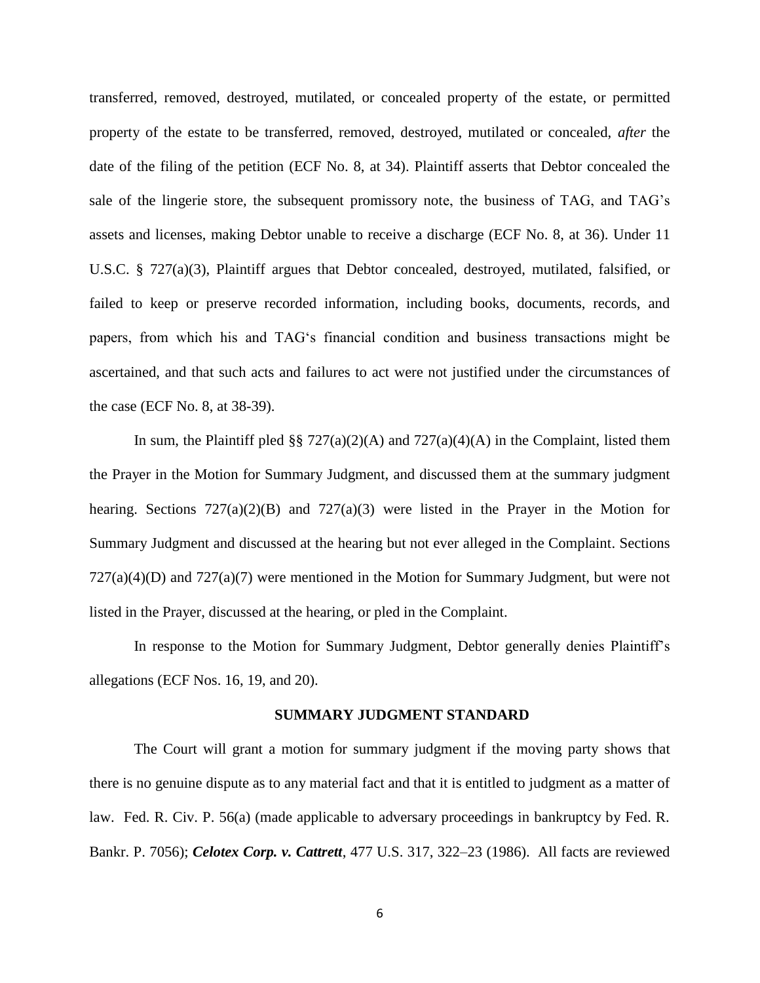transferred, removed, destroyed, mutilated, or concealed property of the estate, or permitted property of the estate to be transferred, removed, destroyed, mutilated or concealed, *after* the date of the filing of the petition (ECF No. 8, at 34). Plaintiff asserts that Debtor concealed the sale of the lingerie store, the subsequent promissory note, the business of TAG, and TAG's assets and licenses, making Debtor unable to receive a discharge (ECF No. 8, at 36). Under 11 U.S.C. § 727(a)(3), Plaintiff argues that Debtor concealed, destroyed, mutilated, falsified, or failed to keep or preserve recorded information, including books, documents, records, and papers, from which his and TAG's financial condition and business transactions might be ascertained, and that such acts and failures to act were not justified under the circumstances of the case (ECF No. 8, at 38-39).

In sum, the Plaintiff pled §§ 727(a)(2)(A) and 727(a)(4)(A) in the Complaint, listed them the Prayer in the Motion for Summary Judgment, and discussed them at the summary judgment hearing. Sections  $727(a)(2)(B)$  and  $727(a)(3)$  were listed in the Prayer in the Motion for Summary Judgment and discussed at the hearing but not ever alleged in the Complaint. Sections  $727(a)(4)(D)$  and  $727(a)(7)$  were mentioned in the Motion for Summary Judgment, but were not listed in the Prayer, discussed at the hearing, or pled in the Complaint.

In response to the Motion for Summary Judgment, Debtor generally denies Plaintiff's allegations (ECF Nos. 16, 19, and 20).

#### **SUMMARY JUDGMENT STANDARD**

The Court will grant a motion for summary judgment if the moving party shows that there is no genuine dispute as to any material fact and that it is entitled to judgment as a matter of law. Fed. R. Civ. P. 56(a) (made applicable to adversary proceedings in bankruptcy by Fed. R. Bankr. P. 7056); *Celotex Corp. v. Cattrett*, 477 U.S. 317, 322–23 (1986). All facts are reviewed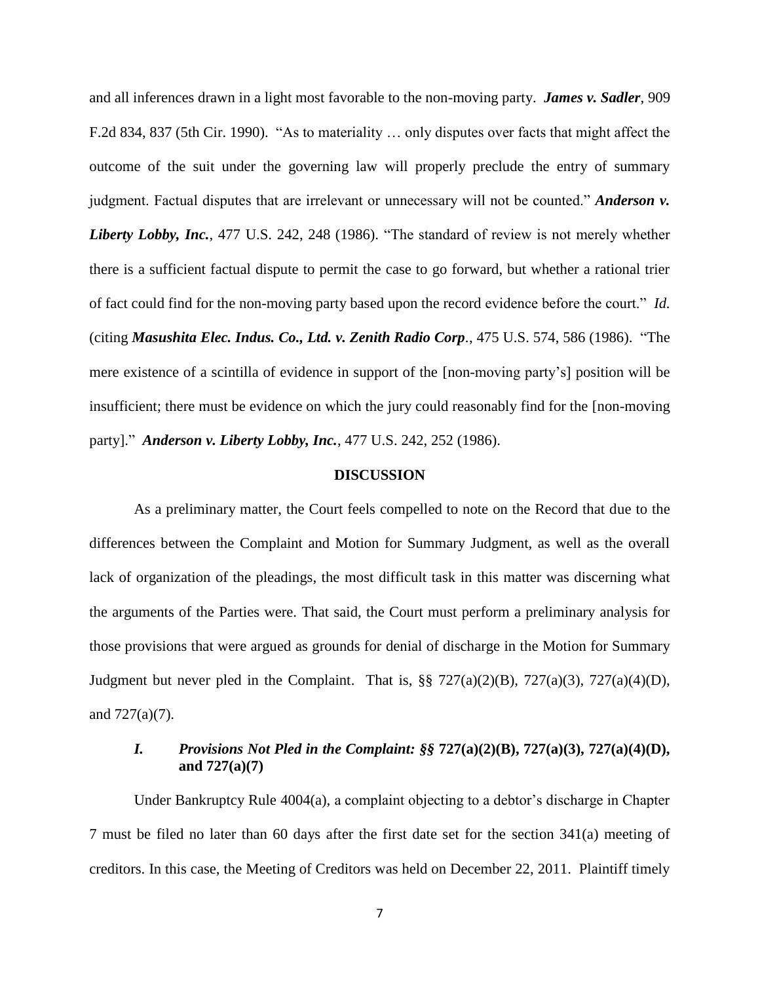and all inferences drawn in a light most favorable to the non-moving party. *James v. Sadler*, 909 F.2d 834, 837 (5th Cir. 1990). "As to materiality … only disputes over facts that might affect the outcome of the suit under the governing law will properly preclude the entry of summary judgment. Factual disputes that are irrelevant or unnecessary will not be counted." *Anderson v. Liberty Lobby, Inc.*, 477 U.S. 242, 248 (1986). "The standard of review is not merely whether there is a sufficient factual dispute to permit the case to go forward, but whether a rational trier of fact could find for the non-moving party based upon the record evidence before the court." *Id.* (citing *Masushita Elec. Indus. Co., Ltd. v. Zenith Radio Corp.*, 475 U.S. 574, 586 (1986). "The mere existence of a scintilla of evidence in support of the [non-moving party's] position will be insufficient; there must be evidence on which the jury could reasonably find for the [non-moving party]." *Anderson v. Liberty Lobby, Inc.*, 477 U.S. 242, 252 (1986).

### **DISCUSSION**

As a preliminary matter, the Court feels compelled to note on the Record that due to the differences between the Complaint and Motion for Summary Judgment, as well as the overall lack of organization of the pleadings, the most difficult task in this matter was discerning what the arguments of the Parties were. That said, the Court must perform a preliminary analysis for those provisions that were argued as grounds for denial of discharge in the Motion for Summary Judgment but never pled in the Complaint. That is,  $\S$   $\frac{\$ {8}}{27(a)(2)(B)},  $\frac{727(a)(3)}{727(a)(4)(D)}$ , and  $727(a)(7)$ .

## *I. Provisions Not Pled in the Complaint: §§* **727(a)(2)(B), 727(a)(3), 727(a)(4)(D), and 727(a)(7)**

Under Bankruptcy Rule 4004(a), a complaint objecting to a debtor's discharge in Chapter 7 must be filed no later than 60 days after the first date set for the section 341(a) meeting of creditors. In this case, the Meeting of Creditors was held on December 22, 2011. Plaintiff timely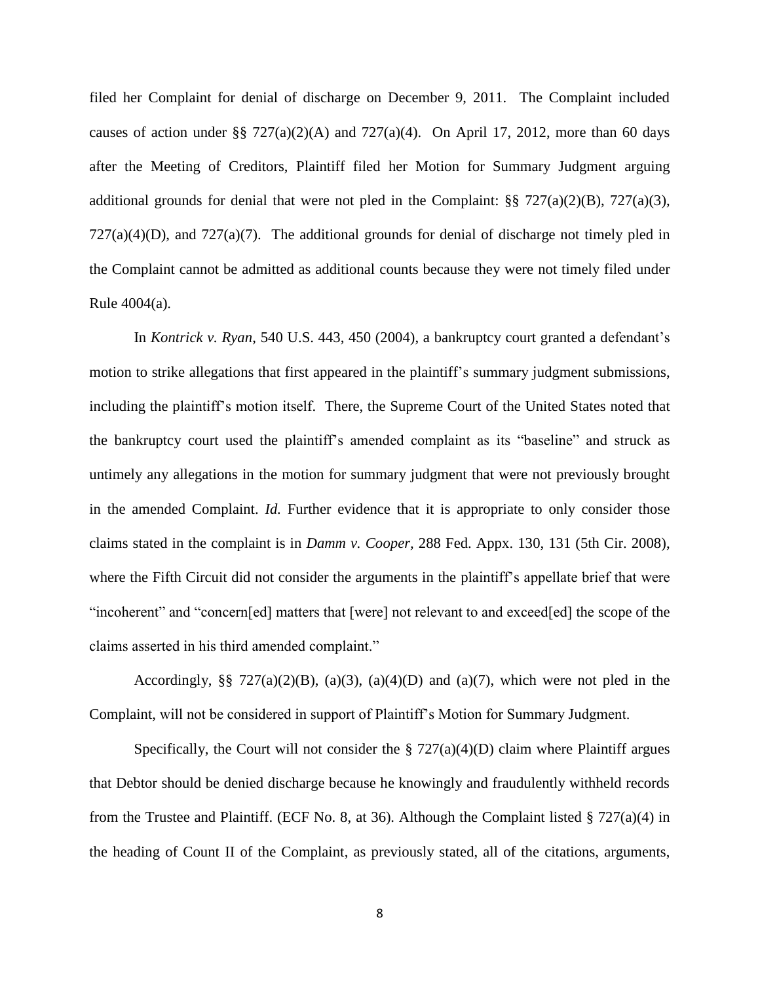filed her Complaint for denial of discharge on December 9, 2011. The Complaint included causes of action under §§ 727(a)(2)(A) and 727(a)(4). On April 17, 2012, more than 60 days after the Meeting of Creditors, Plaintiff filed her Motion for Summary Judgment arguing additional grounds for denial that were not pled in the Complaint:  $\S$   $\frac{\sqrt{27(a)(2)(B)}}{27(a)(3)}$ ,  $727(a)(4)(D)$ , and  $727(a)(7)$ . The additional grounds for denial of discharge not timely pled in the Complaint cannot be admitted as additional counts because they were not timely filed under Rule 4004(a).

In *Kontrick v. Ryan*, 540 U.S. 443, 450 (2004), a bankruptcy court granted a defendant's motion to strike allegations that first appeared in the plaintiff's summary judgment submissions, including the plaintiff's motion itself. There, the Supreme Court of the United States noted that the bankruptcy court used the plaintiff's amended complaint as its "baseline" and struck as untimely any allegations in the motion for summary judgment that were not previously brought in the amended Complaint. *Id.* Further evidence that it is appropriate to only consider those claims stated in the complaint is in *Damm v. Cooper,* 288 Fed. Appx. 130, 131 (5th Cir. 2008), where the Fifth Circuit did not consider the arguments in the plaintiff's appellate brief that were "incoherent" and "concern[ed] matters that [were] not relevant to and exceed[ed] the scope of the claims asserted in his third amended complaint."

Accordingly, §§  $727(a)(2)(B)$ ,  $(a)(3)$ ,  $(a)(4)(D)$  and  $(a)(7)$ , which were not pled in the Complaint, will not be considered in support of Plaintiff's Motion for Summary Judgment.

Specifically, the Court will not consider the  $\S 727(a)(4)(D)$  claim where Plaintiff argues that Debtor should be denied discharge because he knowingly and fraudulently withheld records from the Trustee and Plaintiff. (ECF No. 8, at 36). Although the Complaint listed  $\S 727(a)(4)$  in the heading of Count II of the Complaint, as previously stated, all of the citations, arguments,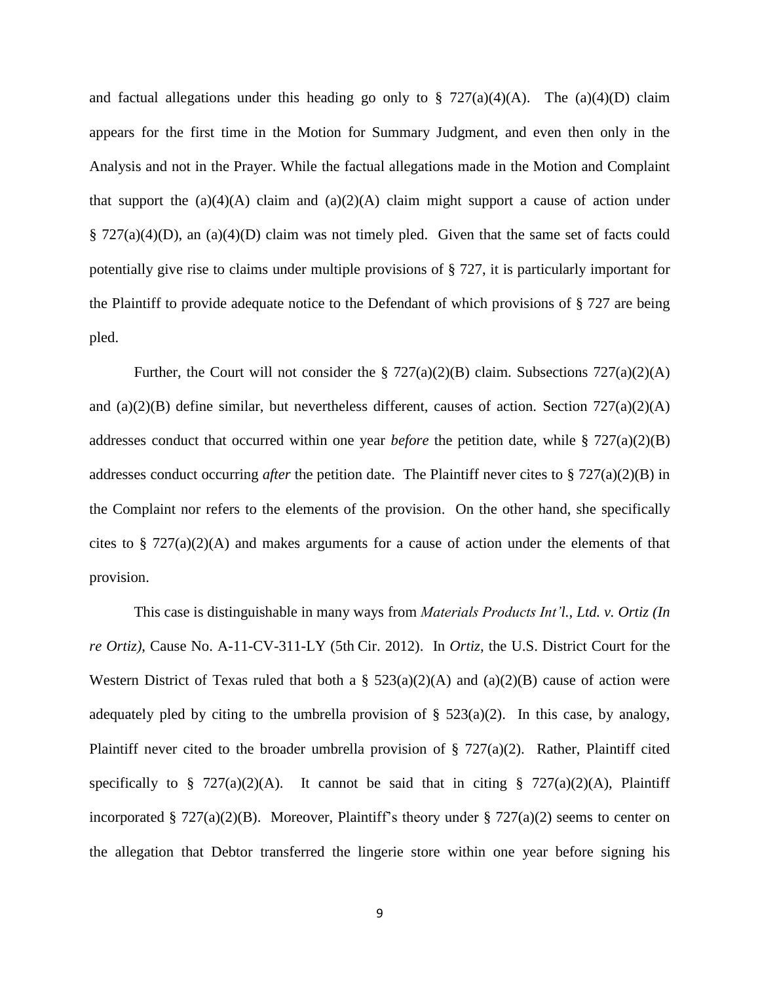and factual allegations under this heading go only to  $\S$  727(a)(4)(A). The (a)(4)(D) claim appears for the first time in the Motion for Summary Judgment, and even then only in the Analysis and not in the Prayer. While the factual allegations made in the Motion and Complaint that support the (a)(4)(A) claim and (a)(2)(A) claim might support a cause of action under  $\S 727(a)(4)(D)$ , an  $(a)(4)(D)$  claim was not timely pled. Given that the same set of facts could potentially give rise to claims under multiple provisions of § 727, it is particularly important for the Plaintiff to provide adequate notice to the Defendant of which provisions of § 727 are being pled.

Further, the Court will not consider the  $\S 727(a)(2)(B)$  claim. Subsections  $727(a)(2)(A)$ and (a)(2)(B) define similar, but nevertheless different, causes of action. Section  $727(a)(2)(A)$ addresses conduct that occurred within one year *before* the petition date, while § 727(a)(2)(B) addresses conduct occurring *after* the petition date. The Plaintiff never cites to § 727(a)(2)(B) in the Complaint nor refers to the elements of the provision. On the other hand, she specifically cites to  $\S 727(a)(2)(A)$  and makes arguments for a cause of action under the elements of that provision.

This case is distinguishable in many ways from *Materials Products Int'l., Ltd. v. Ortiz (In re Ortiz)*, Cause No. A-11-CV-311-LY (5th Cir. 2012). In *Ortiz*, the U.S. District Court for the Western District of Texas ruled that both a  $\S$  523(a)(2)(A) and (a)(2)(B) cause of action were adequately pled by citing to the umbrella provision of  $\S$  523(a)(2). In this case, by analogy, Plaintiff never cited to the broader umbrella provision of  $\S 727(a)(2)$ . Rather, Plaintiff cited specifically to § 727(a)(2)(A). It cannot be said that in citing § 727(a)(2)(A), Plaintiff incorporated § 727(a)(2)(B). Moreover, Plaintiff's theory under § 727(a)(2) seems to center on the allegation that Debtor transferred the lingerie store within one year before signing his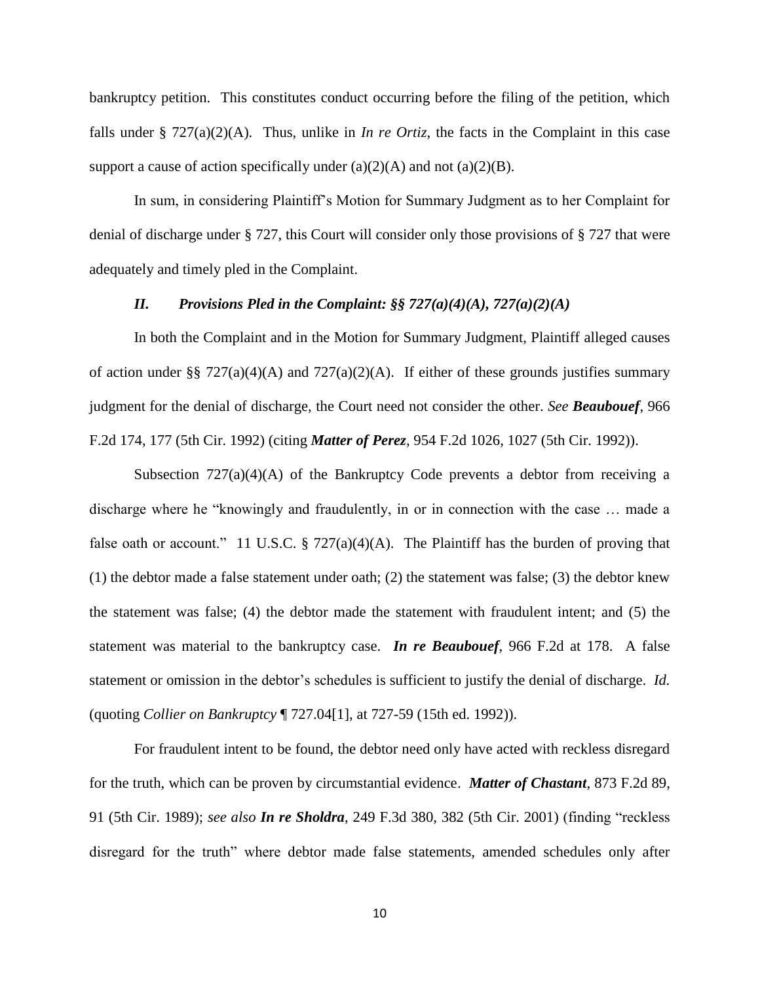bankruptcy petition. This constitutes conduct occurring before the filing of the petition, which falls under § 727(a)(2)(A). Thus, unlike in *In re Ortiz*, the facts in the Complaint in this case support a cause of action specifically under  $(a)(2)(A)$  and not  $(a)(2)(B)$ .

In sum, in considering Plaintiff's Motion for Summary Judgment as to her Complaint for denial of discharge under § 727, this Court will consider only those provisions of § 727 that were adequately and timely pled in the Complaint.

### *II. Provisions Pled in the Complaint: §§ 727(a)(4)(A), 727(a)(2)(A)*

In both the Complaint and in the Motion for Summary Judgment, Plaintiff alleged causes of action under §§ 727(a)(4)(A) and 727(a)(2)(A). If either of these grounds justifies summary judgment for the denial of discharge, the Court need not consider the other. *See Beaubouef*, 966 F.2d 174, 177 (5th Cir. 1992) (citing *Matter of Perez*, 954 F.2d 1026, 1027 (5th Cir. 1992)).

Subsection  $727(a)(4)(A)$  of the Bankruptcy Code prevents a debtor from receiving a discharge where he "knowingly and fraudulently, in or in connection with the case … made a false oath or account." 11 U.S.C.  $\S$  727(a)(4)(A). The Plaintiff has the burden of proving that (1) the debtor made a false statement under oath; (2) the statement was false; (3) the debtor knew the statement was false; (4) the debtor made the statement with fraudulent intent; and (5) the statement was material to the bankruptcy case. *In re Beaubouef*, 966 F.2d at 178. A false statement or omission in the debtor's schedules is sufficient to justify the denial of discharge. *Id.* (quoting *Collier on Bankruptcy* ¶ 727.04[1], at 727-59 (15th ed. 1992)).

For fraudulent intent to be found, the debtor need only have acted with reckless disregard for the truth, which can be proven by circumstantial evidence. *Matter of Chastant*, 873 F.2d 89, 91 (5th Cir. 1989); *see also In re Sholdra*, 249 F.3d 380, 382 (5th Cir. 2001) (finding "reckless disregard for the truth" where debtor made false statements, amended schedules only after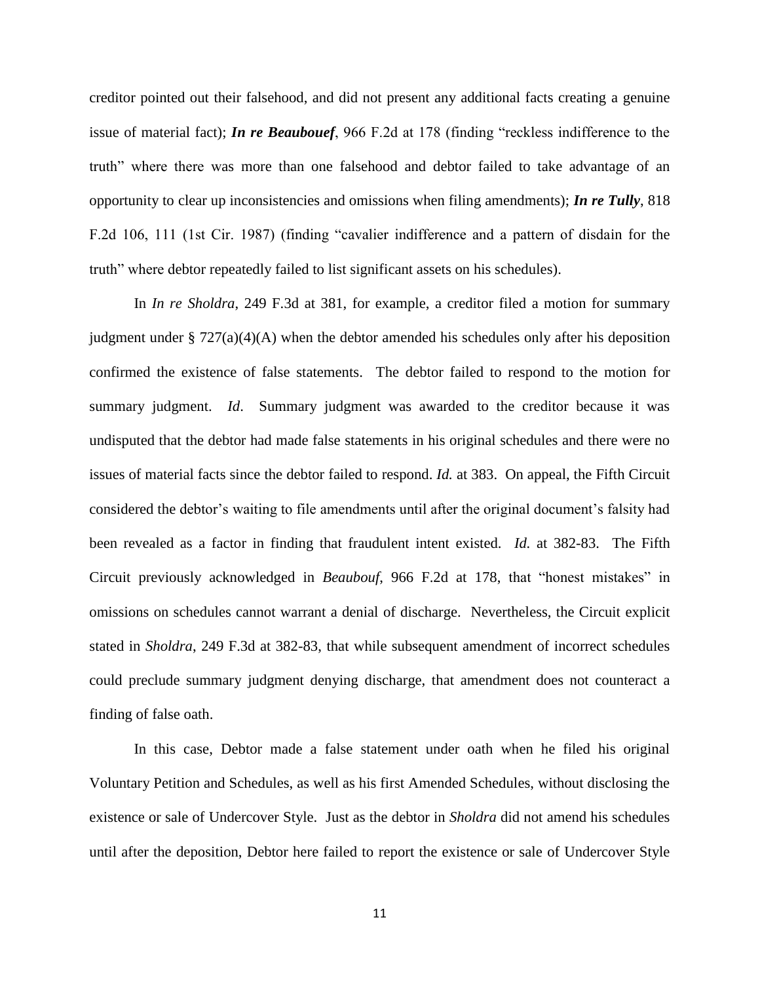creditor pointed out their falsehood, and did not present any additional facts creating a genuine issue of material fact); *In re Beaubouef*, 966 F.2d at 178 (finding "reckless indifference to the truth" where there was more than one falsehood and debtor failed to take advantage of an opportunity to clear up inconsistencies and omissions when filing amendments); *In re Tully*, 818 F.2d 106, 111 (1st Cir. 1987) (finding "cavalier indifference and a pattern of disdain for the truth" where debtor repeatedly failed to list significant assets on his schedules).

In *In re Sholdra*, 249 F.3d at 381, for example, a creditor filed a motion for summary judgment under §  $727(a)(4)(A)$  when the debtor amended his schedules only after his deposition confirmed the existence of false statements. The debtor failed to respond to the motion for summary judgment. *Id*. Summary judgment was awarded to the creditor because it was undisputed that the debtor had made false statements in his original schedules and there were no issues of material facts since the debtor failed to respond. *Id.* at 383. On appeal, the Fifth Circuit considered the debtor's waiting to file amendments until after the original document's falsity had been revealed as a factor in finding that fraudulent intent existed. *Id.* at 382-83. The Fifth Circuit previously acknowledged in *Beaubouf*, 966 F.2d at 178, that "honest mistakes" in omissions on schedules cannot warrant a denial of discharge. Nevertheless, the Circuit explicit stated in *Sholdra*, 249 F.3d at 382-83, that while subsequent amendment of incorrect schedules could preclude summary judgment denying discharge, that amendment does not counteract a finding of false oath.

In this case, Debtor made a false statement under oath when he filed his original Voluntary Petition and Schedules, as well as his first Amended Schedules, without disclosing the existence or sale of Undercover Style. Just as the debtor in *Sholdra* did not amend his schedules until after the deposition, Debtor here failed to report the existence or sale of Undercover Style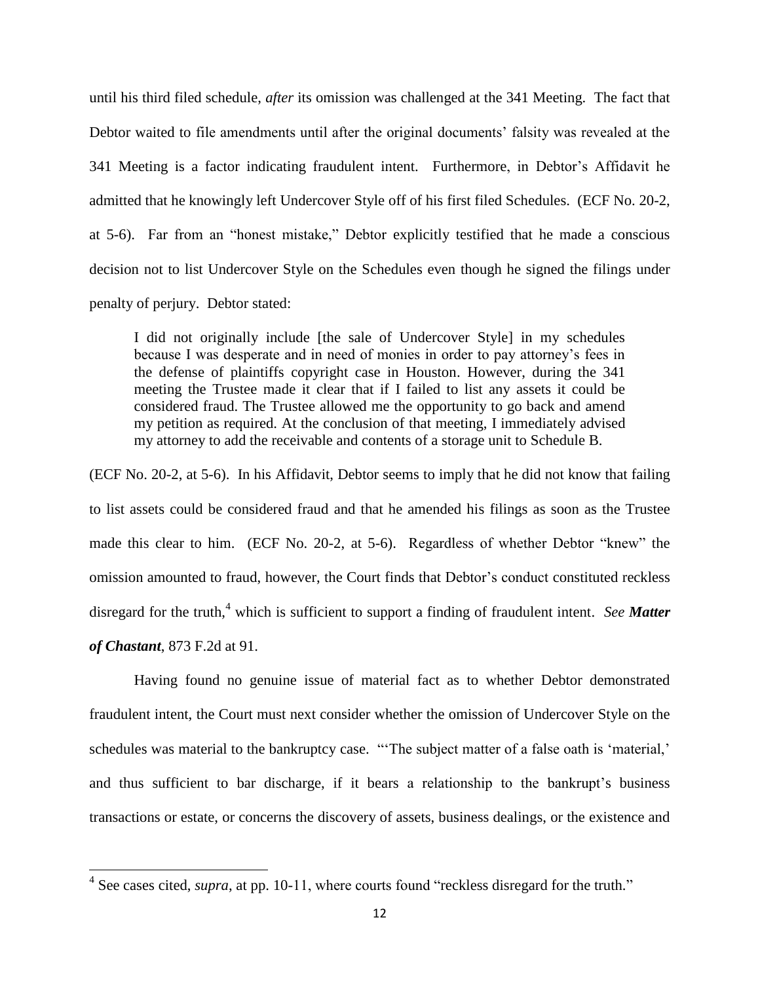until his third filed schedule, *after* its omission was challenged at the 341 Meeting. The fact that Debtor waited to file amendments until after the original documents' falsity was revealed at the 341 Meeting is a factor indicating fraudulent intent. Furthermore, in Debtor's Affidavit he admitted that he knowingly left Undercover Style off of his first filed Schedules. (ECF No. 20-2, at 5-6). Far from an "honest mistake," Debtor explicitly testified that he made a conscious decision not to list Undercover Style on the Schedules even though he signed the filings under penalty of perjury. Debtor stated:

I did not originally include [the sale of Undercover Style] in my schedules because I was desperate and in need of monies in order to pay attorney's fees in the defense of plaintiffs copyright case in Houston. However, during the 341 meeting the Trustee made it clear that if I failed to list any assets it could be considered fraud. The Trustee allowed me the opportunity to go back and amend my petition as required. At the conclusion of that meeting, I immediately advised my attorney to add the receivable and contents of a storage unit to Schedule B.

(ECF No. 20-2, at 5-6). In his Affidavit, Debtor seems to imply that he did not know that failing to list assets could be considered fraud and that he amended his filings as soon as the Trustee made this clear to him. (ECF No. 20-2, at 5-6). Regardless of whether Debtor "knew" the omission amounted to fraud, however, the Court finds that Debtor's conduct constituted reckless disregard for the truth, <sup>4</sup> which is sufficient to support a finding of fraudulent intent. *See Matter of Chastant*, 873 F.2d at 91.

Having found no genuine issue of material fact as to whether Debtor demonstrated fraudulent intent, the Court must next consider whether the omission of Undercover Style on the schedules was material to the bankruptcy case. "'The subject matter of a false oath is 'material,' and thus sufficient to bar discharge, if it bears a relationship to the bankrupt's business transactions or estate, or concerns the discovery of assets, business dealings, or the existence and

<sup>&</sup>lt;sup>4</sup> See cases cited, *supra*, at pp. 10-11, where courts found "reckless disregard for the truth."